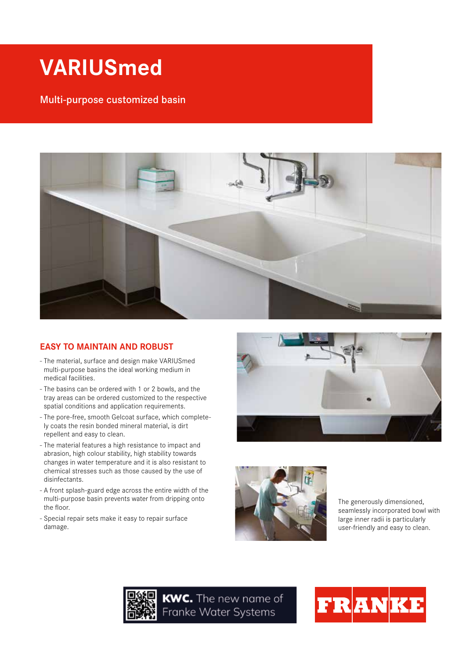# **VARIUSmed**

# Multi-purpose customized basin



## **EASY TO MAINTAIN AND ROBUST**

- The material, surface and design make VARIUSmed multi-purpose basins the ideal working medium in medical facilities.
- The basins can be ordered with 1 or 2 bowls, and the tray areas can be ordered customized to the respective spatial conditions and application requirements.
- The pore-free, smooth Gelcoat surface, which completely coats the resin bonded mineral material, is dirt repellent and easy to clean.
- The material features a high resistance to impact and abrasion, high colour stability, high stability towards changes in water temperature and it is also resistant to chemical stresses such as those caused by the use of disinfectants.
- A front splash-guard edge across the entire width of the multi-purpose basin prevents water from dripping onto the floor.
- Special repair sets make it easy to repair surface damage.





The generously dimensioned, seamlessly incorporated bowl with large inner radii is particularly user-friendly and easy to clean.



KWC. The new name of Franke Water Systems